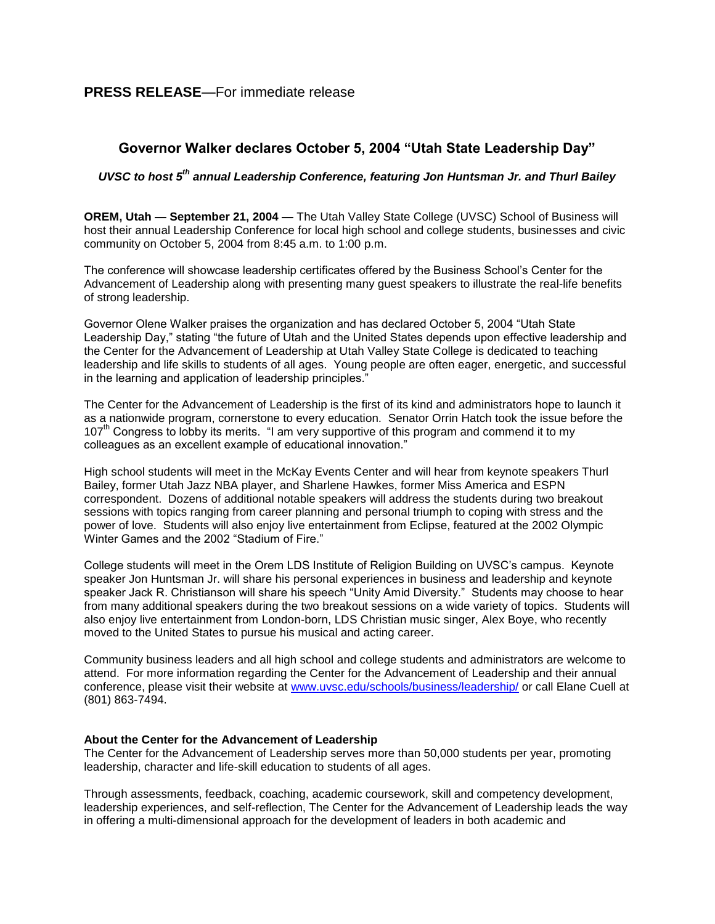## **PRESS RELEASE**—For immediate release

## **Governor Walker declares October 5, 2004 "Utah State Leadership Day"**

## *UVSC to host 5th annual Leadership Conference, featuring Jon Huntsman Jr. and Thurl Bailey*

**OREM, Utah — September 21, 2004 —** The Utah Valley State College (UVSC) School of Business will host their annual Leadership Conference for local high school and college students, businesses and civic community on October 5, 2004 from 8:45 a.m. to 1:00 p.m.

The conference will showcase leadership certificates offered by the Business School's Center for the Advancement of Leadership along with presenting many guest speakers to illustrate the real-life benefits of strong leadership.

Governor Olene Walker praises the organization and has declared October 5, 2004 "Utah State Leadership Day," stating "the future of Utah and the United States depends upon effective leadership and the Center for the Advancement of Leadership at Utah Valley State College is dedicated to teaching leadership and life skills to students of all ages. Young people are often eager, energetic, and successful in the learning and application of leadership principles."

The Center for the Advancement of Leadership is the first of its kind and administrators hope to launch it as a nationwide program, cornerstone to every education. Senator Orrin Hatch took the issue before the 107<sup>th</sup> Congress to lobby its merits. "I am very supportive of this program and commend it to my colleagues as an excellent example of educational innovation."

High school students will meet in the McKay Events Center and will hear from keynote speakers Thurl Bailey, former Utah Jazz NBA player, and Sharlene Hawkes, former Miss America and ESPN correspondent. Dozens of additional notable speakers will address the students during two breakout sessions with topics ranging from career planning and personal triumph to coping with stress and the power of love. Students will also enjoy live entertainment from Eclipse, featured at the 2002 Olympic Winter Games and the 2002 "Stadium of Fire."

College students will meet in the Orem LDS Institute of Religion Building on UVSC's campus. Keynote speaker Jon Huntsman Jr. will share his personal experiences in business and leadership and keynote speaker Jack R. Christianson will share his speech "Unity Amid Diversity." Students may choose to hear from many additional speakers during the two breakout sessions on a wide variety of topics. Students will also enjoy live entertainment from London-born, LDS Christian music singer, Alex Boye, who recently moved to the United States to pursue his musical and acting career.

Community business leaders and all high school and college students and administrators are welcome to attend. For more information regarding the Center for the Advancement of Leadership and their annual conference, please visit their website at [www.uvsc.edu/schools/business/leadership/](http://www.uvsc.edu/schools/business/leadership/) or call Elane Cuell at (801) 863-7494.

## **About the Center for the Advancement of Leadership**

The Center for the Advancement of Leadership serves more than 50,000 students per year, promoting leadership, character and life-skill education to students of all ages.

Through assessments, feedback, coaching, academic coursework, skill and competency development, leadership experiences, and self-reflection, The Center for the Advancement of Leadership leads the way in offering a multi-dimensional approach for the development of leaders in both academic and